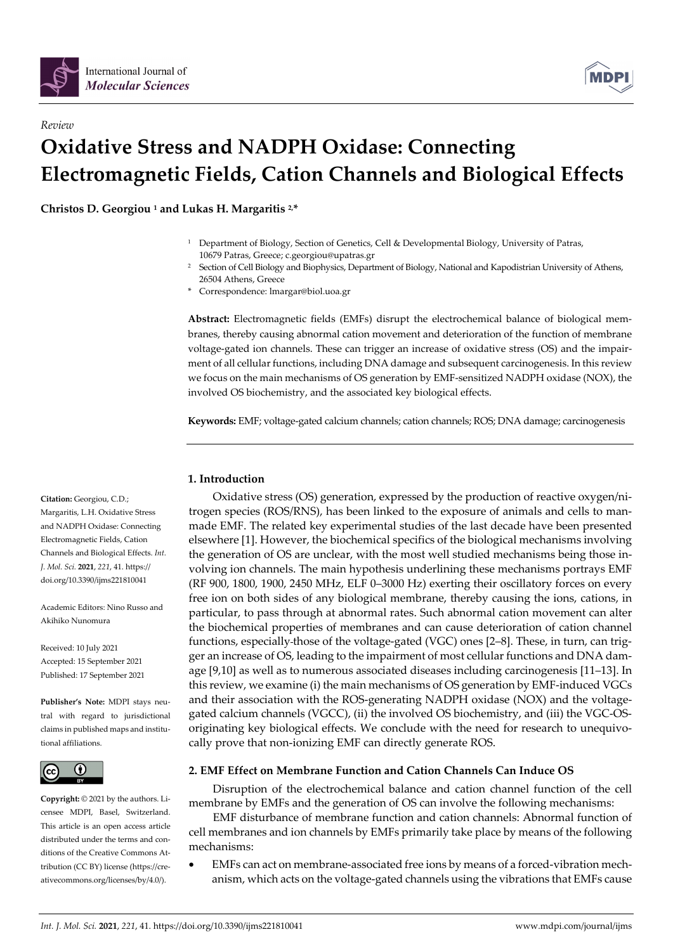

*Review* 



# **Oxidative Stress and NADPH Oxidase: Connecting Electromagnetic Fields, Cation Channels and Biological Effects**

**Christos D. Georgiou 1 and Lukas H. Margaritis 2,\*** 

- <sup>1</sup> Department of Biology, Section of Genetics, Cell & Developmental Biology, University of Patras, 10679 Patras, Greece; c.georgiou@upatras.gr
- <sup>2</sup> Section of Cell Biology and Biophysics, Department of Biology, National and Kapodistrian University of Athens, 26504 Athens, Greece
- Correspondence: lmargar@biol.uoa.gr

**Abstract:** Electromagnetic fields (EMFs) disrupt the electrochemical balance of biological membranes, thereby causing abnormal cation movement and deterioration of the function of membrane voltage-gated ion channels. These can trigger an increase of oxidative stress (OS) and the impairment of all cellular functions, including DNA damage and subsequent carcinogenesis. In this review we focus on the main mechanisms of OS generation by EMF-sensitized NADPH oxidase (NOX), the involved OS biochemistry, and the associated key biological effects.

**Keywords:** EMF; voltage-gated calcium channels; cation channels; ROS; DNA damage; carcinogenesis

# **1. Introduction**

Oxidative stress (OS) generation, expressed by the production of reactive oxygen/nitrogen species (ROS/RNS), has been linked to the exposure of animals and cells to manmade EMF. The related key experimental studies of the last decade have been presented elsewhere [1]. However, the biochemical specifics of the biological mechanisms involving the generation of OS are unclear, with the most well studied mechanisms being those involving ion channels. The main hypothesis underlining these mechanisms portrays EMF (RF 900, 1800, 1900, 2450 MHz, ELF 0–3000 Hz) exerting their oscillatory forces on every free ion on both sides of any biological membrane, thereby causing the ions, cations, in particular, to pass through at abnormal rates. Such abnormal cation movement can alter the biochemical properties of membranes and can cause deterioration of cation channel functions, especially those of the voltage-gated (VGC) ones [2–8]. These, in turn, can trigger an increase of OS, leading to the impairment of most cellular functions and DNA damage [9,10] as well as to numerous associated diseases including carcinogenesis [11–13]. In this review, we examine (i) the main mechanisms of OS generation by EMF-induced VGCs and their association with the ROS-generating NADPH oxidase (NOX) and the voltagegated calcium channels (VGCC), (ii) the involved OS biochemistry, and (iii) the VGC-OSoriginating key biological effects. We conclude with the need for research to unequivocally prove that non-ionizing EMF can directly generate ROS.

# **2. EMF Effect on Membrane Function and Cation Channels Can Induce OS**

Disruption of the electrochemical balance and cation channel function of the cell membrane by EMFs and the generation of OS can involve the following mechanisms:

EMF disturbance of membrane function and cation channels: Abnormal function of cell membranes and ion channels by EMFs primarily take place by means of the following mechanisms:

• EMFs can act on membrane-associated free ions by means of a forced-vibration mechanism, which acts on the voltage-gated channels using the vibrations that EMFs cause

**Citation:** Georgiou, C.D.; Margaritis, L.H. Oxidative Stress and NADPH Oxidase: Connecting Electromagnetic Fields, Cation Channels and Biological Effects. *Int. J. Mol. Sci.* **2021**, *221*, 41. https:// doi.org/10.3390/ijms221810041

Academic Editors: Nino Russo and Akihiko Nunomura

Received: 10 July 2021 Accepted: 15 September 2021 Published: 17 September 2021

**Publisher's Note:** MDPI stays neutral with regard to jurisdictional claims in published maps and institutional affiliations.



**Copyright:** © 2021 by the authors. Licensee MDPI, Basel, Switzerland. This article is an open access article distributed under the terms and conditions of the Creative Commons Attribution (CC BY) license (https://creativecommons.org/licenses/by/4.0/).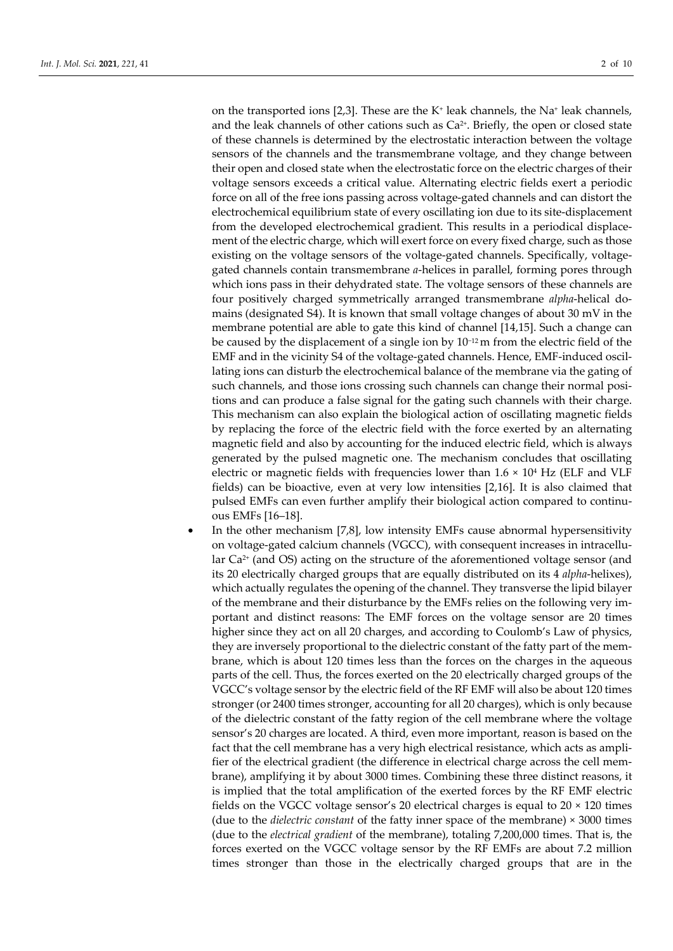on the transported ions [2,3]. These are the K<sup>+</sup> leak channels, the Na<sup>+</sup> leak channels, and the leak channels of other cations such as  $Ca<sup>2+</sup>$ . Briefly, the open or closed state of these channels is determined by the electrostatic interaction between the voltage sensors of the channels and the transmembrane voltage, and they change between their open and closed state when the electrostatic force on the electric charges of their voltage sensors exceeds a critical value. Alternating electric fields exert a periodic force on all of the free ions passing across voltage-gated channels and can distort the electrochemical equilibrium state of every oscillating ion due to its site-displacement from the developed electrochemical gradient. This results in a periodical displacement of the electric charge, which will exert force on every fixed charge, such as those existing on the voltage sensors of the voltage-gated channels. Specifically, voltagegated channels contain transmembrane *a*-helices in parallel, forming pores through which ions pass in their dehydrated state. The voltage sensors of these channels are four positively charged symmetrically arranged transmembrane *alpha*-helical domains (designated S4). It is known that small voltage changes of about 30 mV in the membrane potential are able to gate this kind of channel [14,15]. Such a change can be caused by the displacement of a single ion by 10−12 m from the electric field of the EMF and in the vicinity S4 of the voltage-gated channels. Hence, EMF-induced oscillating ions can disturb the electrochemical balance of the membrane via the gating of such channels, and those ions crossing such channels can change their normal positions and can produce a false signal for the gating such channels with their charge. This mechanism can also explain the biological action of oscillating magnetic fields by replacing the force of the electric field with the force exerted by an alternating magnetic field and also by accounting for the induced electric field, which is always generated by the pulsed magnetic one. The mechanism concludes that oscillating electric or magnetic fields with frequencies lower than  $1.6 \times 10^4$  Hz (ELF and VLF fields) can be bioactive, even at very low intensities [2,16]. It is also claimed that pulsed EMFs can even further amplify their biological action compared to continuous EMFs [16–18].

In the other mechanism [7,8], low intensity EMFs cause abnormal hypersensitivity on voltage-gated calcium channels (VGCC), with consequent increases in intracellular Ca<sup>2+</sup> (and OS) acting on the structure of the aforementioned voltage sensor (and its 20 electrically charged groups that are equally distributed on its 4 *alpha*-helixes), which actually regulates the opening of the channel. They transverse the lipid bilayer of the membrane and their disturbance by the EMFs relies on the following very important and distinct reasons: The EMF forces on the voltage sensor are 20 times higher since they act on all 20 charges, and according to Coulomb's Law of physics, they are inversely proportional to the dielectric constant of the fatty part of the membrane, which is about 120 times less than the forces on the charges in the aqueous parts of the cell. Thus, the forces exerted on the 20 electrically charged groups of the VGCC's voltage sensor by the electric field of the RF EMF will also be about 120 times stronger (or 2400 times stronger, accounting for all 20 charges), which is only because of the dielectric constant of the fatty region of the cell membrane where the voltage sensor's 20 charges are located. A third, even more important, reason is based on the fact that the cell membrane has a very high electrical resistance, which acts as amplifier of the electrical gradient (the difference in electrical charge across the cell membrane), amplifying it by about 3000 times. Combining these three distinct reasons, it is implied that the total amplification of the exerted forces by the RF EMF electric fields on the VGCC voltage sensor's 20 electrical charges is equal to 20 × 120 times (due to the *dielectric constant* of the fatty inner space of the membrane) × 3000 times (due to the *electrical gradient* of the membrane), totaling 7,200,000 times. That is, the forces exerted on the VGCC voltage sensor by the RF EMFs are about 7.2 million times stronger than those in the electrically charged groups that are in the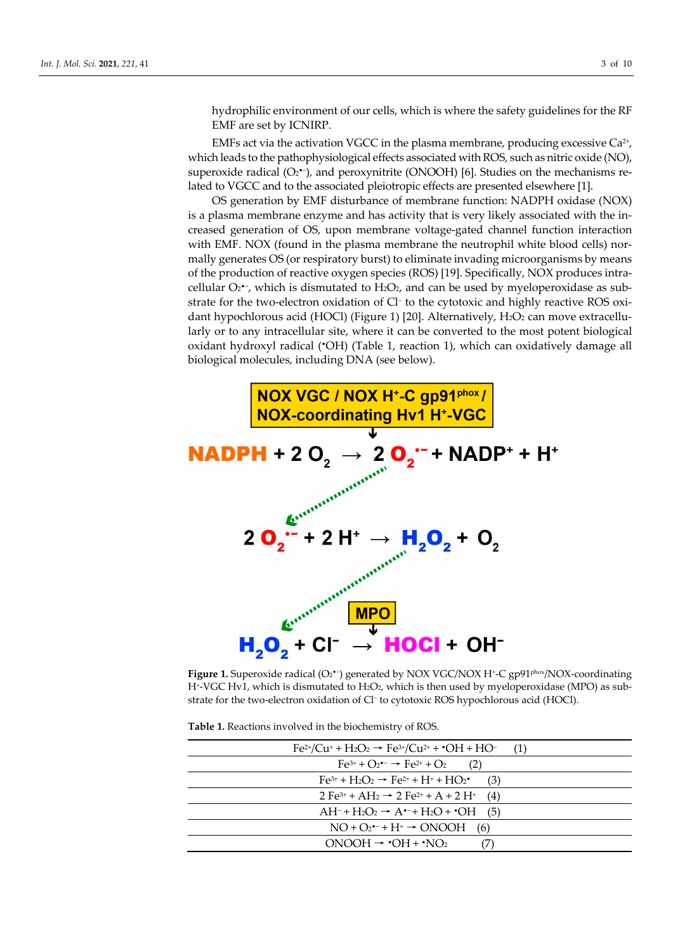hydrophilic environment of our cells, which is where the safety guidelines for the RF EMF are set by ICNIRP.

EMFs act via the activation VGCC in the plasma membrane, producing excessive  $Ca^{2+}$ , which leads to the pathophysiological effects associated with ROS, such as nitric oxide (NO), superoxide radical  $(O_2^{\bullet-})$ , and peroxynitrite (ONOOH) [6]. Studies on the mechanisms related to VGCC and to the associated pleiotropic effects are presented elsewhere [1].

OS generation by EMF disturbance of membrane function: NADPH oxidase (NOX) is a plasma membrane enzyme and has activity that is very likely associated with the increased generation of OS, upon membrane voltage-gated channel function interaction with EMF. NOX (found in the plasma membrane the neutrophil white blood cells) normally generates OS (or respiratory burst) to eliminate invading microorganisms by means of the production of reactive oxygen species (ROS) [19]. Specifically, NOX produces intracellular O2•−, which is dismutated to H2O2, and can be used by myeloperoxidase as substrate for the two-electron oxidation of Cl− to the cytotoxic and highly reactive ROS oxidant hypochlorous acid (HOCl) (Figure 1) [20]. Alternatively,  $H_2O_2$  can move extracellularly or to any intracellular site, where it can be converted to the most potent biological oxidant hydroxyl radical (•OH) (Table 1, reaction 1), which can oxidatively damage all biological molecules, including DNA (see below).



**Figure 1.** Superoxide radical (O2•−) generated by NOX VGC/NOX H+-C gp91phox/NOX-coordinating H+-VGC Hv1, which is dismutated to H2O2, which is then used by myeloperoxidase (MPO) as substrate for the two-electron oxidation of Cl<sup>−</sup> to cytotoxic ROS hypochlorous acid (HOCl).

**Table 1.** Reactions involved in the biochemistry of ROS.

| $Fe^{2+}/Cu^+ + H_2O_2 \rightarrow Fe^{3+}/Cu^{2+} + OH + HO^-$<br>(1)                              |
|-----------------------------------------------------------------------------------------------------|
| $Fe^{3+} + O_2$ $\rightarrow$ $Fe^{2+} + O_2$<br>(2)                                                |
| $Fe^{3+} + H_2O_2 \rightarrow Fe^{2+} + H^+ + HO_2$<br>(3)                                          |
| 2 Fe <sup>3+</sup> + AH <sub>2</sub> $\rightarrow$ 2 Fe <sup>2+</sup> + A + 2 H <sup>+</sup><br>(4) |
| $AH^- + H_2O_2 \rightarrow A^{\bullet-} + H_2O + \bullet OH$<br>(5)                                 |
| $NO + O_2 - + H^+ \rightarrow ONOOH$<br>(6)                                                         |
| $ONOOH \rightarrow OH + NO2$                                                                        |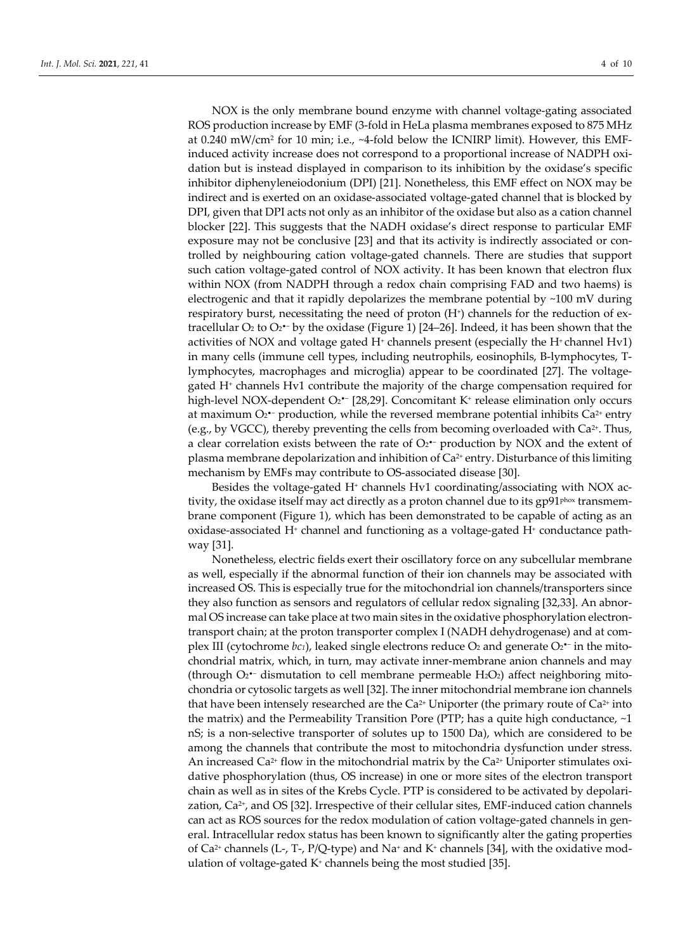NOX is the only membrane bound enzyme with channel voltage-gating associated ROS production increase by EMF (3-fold in HeLa plasma membranes exposed to 875 MHz at 0.240 mW/cm2 for 10 min; i.e., ~4-fold below the ICNIRP limit). However, this EMFinduced activity increase does not correspond to a proportional increase of NADPH oxidation but is instead displayed in comparison to its inhibition by the oxidase's specific inhibitor diphenyleneiodonium (DPI) [21]. Nonetheless, this EMF effect on NOX may be indirect and is exerted on an oxidase-associated voltage-gated channel that is blocked by DPI, given that DPI acts not only as an inhibitor of the oxidase but also as a cation channel blocker [22]. This suggests that the NADH oxidase's direct response to particular EMF exposure may not be conclusive [23] and that its activity is indirectly associated or controlled by neighbouring cation voltage-gated channels. There are studies that support such cation voltage-gated control of NOX activity. It has been known that electron flux within NOX (from NADPH through a redox chain comprising FAD and two haems) is electrogenic and that it rapidly depolarizes the membrane potential by  $~100 \text{ mV}$  during respiratory burst, necessitating the need of proton  $(H<sup>+</sup>)$  channels for the reduction of extracellular O<sub>2</sub> to O<sub>2</sub>•<sup>-</sup> by the oxidase (Figure 1) [24–26]. Indeed, it has been shown that the activities of NOX and voltage gated  $H<sup>+</sup>$  channels present (especially the  $H<sup>+</sup>$  channel Hv1) in many cells (immune cell types, including neutrophils, eosinophils, B-lymphocytes, Tlymphocytes, macrophages and microglia) appear to be coordinated [27]. The voltagegated  $H<sup>+</sup>$  channels Hv1 contribute the majority of the charge compensation required for high-level NOX-dependent O2•− [28,29]. Concomitant K+ release elimination only occurs at maximum O2•− production, while the reversed membrane potential inhibits Ca2+ entry (e.g., by VGCC), thereby preventing the cells from becoming overloaded with  $Ca^{2+}$ . Thus, a clear correlation exists between the rate of O2•− production by NOX and the extent of plasma membrane depolarization and inhibition of  $Ca^{2+}$  entry. Disturbance of this limiting mechanism by EMFs may contribute to OS-associated disease [30].

Besides the voltage-gated H+ channels Hv1 coordinating/associating with NOX activity, the oxidase itself may act directly as a proton channel due to its gp91<sup>phox</sup> transmembrane component (Figure 1), which has been demonstrated to be capable of acting as an  $o$ xidase-associated H $+$  channel and functioning as a voltage-gated H $+$  conductance pathway [31].

Nonetheless, electric fields exert their oscillatory force on any subcellular membrane as well, especially if the abnormal function of their ion channels may be associated with increased OS. This is especially true for the mitochondrial ion channels/transporters since they also function as sensors and regulators of cellular redox signaling [32,33]. An abnormal OS increase can take place at two main sites in the oxidative phosphorylation electrontransport chain; at the proton transporter complex I (NADH dehydrogenase) and at complex III (cytochrome *bc1*), leaked single electrons reduce O<sub>2</sub> and generate O<sub>2</sub>•<sup>−</sup> in the mitochondrial matrix, which, in turn, may activate inner-membrane anion channels and may (through O2•− dismutation to cell membrane permeable H2O2) affect neighboring mitochondria or cytosolic targets as well [32]. The inner mitochondrial membrane ion channels that have been intensely researched are the  $Ca^{2+}$  Uniporter (the primary route of  $Ca^{2+}$  into the matrix) and the Permeability Transition Pore (PTP; has a quite high conductance,  $\sim$ 1 nS; is a non-selective transporter of solutes up to 1500 Da), which are considered to be among the channels that contribute the most to mitochondria dysfunction under stress. An increased  $Ca^{2+}$  flow in the mitochondrial matrix by the  $Ca^{2+}$  Uniporter stimulates oxidative phosphorylation (thus, OS increase) in one or more sites of the electron transport chain as well as in sites of the Krebs Cycle. PTP is considered to be activated by depolarization, Ca<sup>2+</sup>, and OS [32]. Irrespective of their cellular sites, EMF-induced cation channels can act as ROS sources for the redox modulation of cation voltage-gated channels in general. Intracellular redox status has been known to significantly alter the gating properties of Ca<sup>2+</sup> channels (L-, T-, P/Q-type) and Na<sup>+</sup> and K<sup>+</sup> channels [34], with the oxidative modulation of voltage-gated  $K^*$  channels being the most studied [35].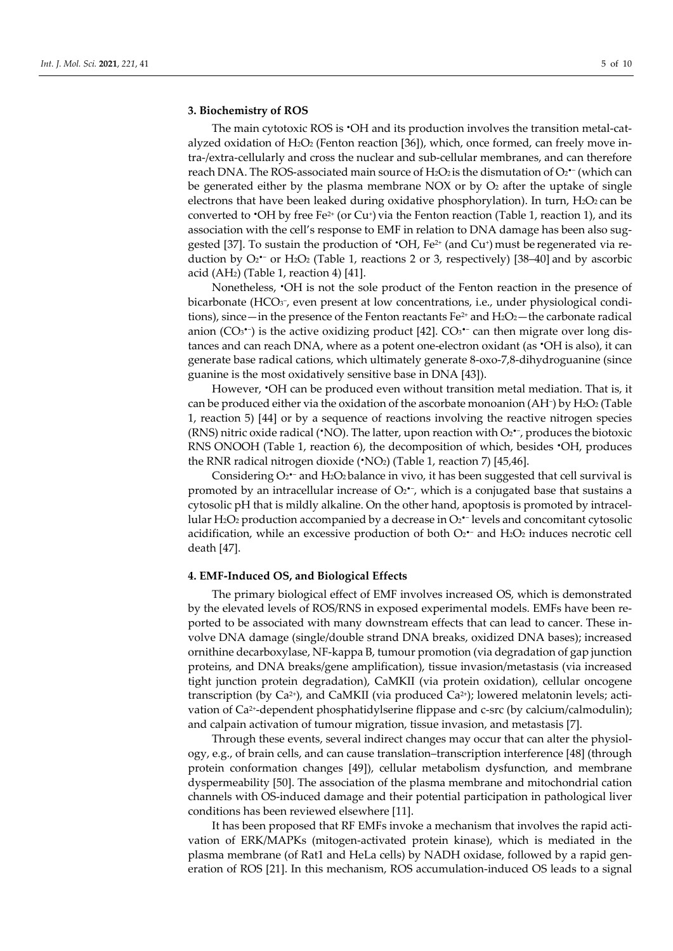#### **3. Biochemistry of ROS**

The main cytotoxic ROS is •OH and its production involves the transition metal-catalyzed oxidation of H2O2 (Fenton reaction [36]), which, once formed, can freely move intra-/extra-cellularly and cross the nuclear and sub-cellular membranes, and can therefore reach DNA. The ROS-associated main source of H2O2 is the dismutation of O2 $\cdot$  (which can be generated either by the plasma membrane NOX or by  $O<sub>2</sub>$  after the uptake of single electrons that have been leaked during oxidative phosphorylation). In turn, H<sub>2</sub>O<sub>2</sub> can be converted to  $\cdot$ OH by free Fe<sup>2+</sup> (or Cu<sup>+</sup>) via the Fenton reaction (Table 1, reaction 1), and its association with the cell's response to EMF in relation to DNA damage has been also suggested [37]. To sustain the production of  $\cdot$ OH, Fe<sup>2+</sup> (and Cu<sup>+</sup>) must be regenerated via reduction by O2<sup>•−</sup> or H<sub>2</sub>O<sub>2</sub> (Table 1, reactions 2 or 3, respectively) [38–40] and by ascorbic acid  $(AH<sub>2</sub>)$  (Table 1, reaction 4) [41].

Nonetheless, •OH is not the sole product of the Fenton reaction in the presence of bicarbonate (HCO3−, even present at low concentrations, i.e., under physiological conditions), since—in the presence of the Fenton reactants Fe<sup>2+</sup> and H<sub>2</sub>O<sub>2</sub>—the carbonate radical anion (CO3•−) is the active oxidizing product [42]. CO3•− can then migrate over long distances and can reach DNA, where as a potent one-electron oxidant (as •OH is also), it can generate base radical cations, which ultimately generate 8-oxo-7,8-dihydroguanine (since guanine is the most oxidatively sensitive base in DNA [43]).

However, •OH can be produced even without transition metal mediation. That is, it can be produced either via the oxidation of the ascorbate monoanion (AH−) by H2O2 (Table 1, reaction 5) [44] or by a sequence of reactions involving the reactive nitrogen species (RNS) nitric oxide radical (•NO). The latter, upon reaction with O2•−, produces the biotoxic RNS ONOOH (Table 1, reaction 6), the decomposition of which, besides •OH, produces the RNR radical nitrogen dioxide  $(\cdot NO_2)$  (Table 1, reaction 7) [45,46].

Considering O2•− and H2O2 balance in vivo, it has been suggested that cell survival is promoted by an intracellular increase of  $O_2 \cdot \cdot$ , which is a conjugated base that sustains a cytosolic pH that is mildly alkaline. On the other hand, apoptosis is promoted by intracellular H2O2 production accompanied by a decrease in O2•− levels and concomitant cytosolic acidification, while an excessive production of both  $O_2$ <sup> $-$ </sup> and H<sub>2</sub>O<sub>2</sub> induces necrotic cell death [47].

## **4. EMF-Induced OS, and Biological Effects**

The primary biological effect of EMF involves increased OS, which is demonstrated by the elevated levels of ROS/RNS in exposed experimental models. EMFs have been reported to be associated with many downstream effects that can lead to cancer. These involve DNA damage (single/double strand DNA breaks, oxidized DNA bases); increased ornithine decarboxylase, NF-kappa B, tumour promotion (via degradation of gap junction proteins, and DNA breaks/gene amplification), tissue invasion/metastasis (via increased tight junction protein degradation), CaMKII (via protein oxidation), cellular oncogene transcription (by  $Ca^{2+}$ ), and CaMKII (via produced  $Ca^{2+}$ ); lowered melatonin levels; activation of Ca<sup>2+</sup>-dependent phosphatidylserine flippase and c-src (by calcium/calmodulin); and calpain activation of tumour migration, tissue invasion, and metastasis [7].

Through these events, several indirect changes may occur that can alter the physiology, e.g., of brain cells, and can cause translation–transcription interference [48] (through protein conformation changes [49]), cellular metabolism dysfunction, and membrane dyspermeability [50]. The association of the plasma membrane and mitochondrial cation channels with OS-induced damage and their potential participation in pathological liver conditions has been reviewed elsewhere [11].

It has been proposed that RF EMFs invoke a mechanism that involves the rapid activation of ERK/MAPKs (mitogen-activated protein kinase), which is mediated in the plasma membrane (of Rat1 and HeLa cells) by NADH oxidase, followed by a rapid generation of ROS [21]. In this mechanism, ROS accumulation-induced OS leads to a signal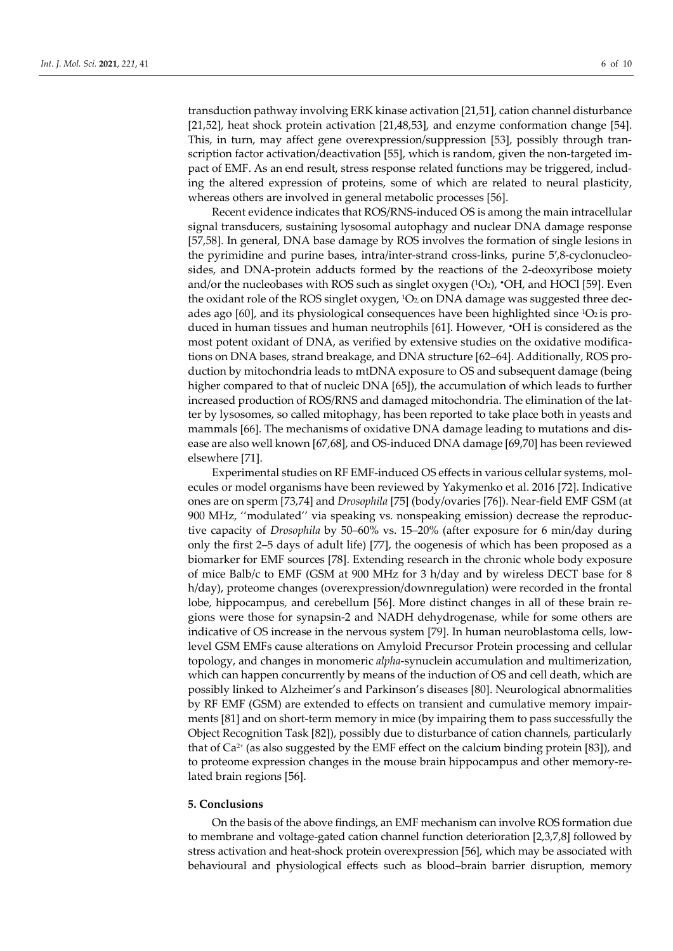transduction pathway involving ERK kinase activation [21,51], cation channel disturbance [21,52], heat shock protein activation [21,48,53], and enzyme conformation change [54]. This, in turn, may affect gene overexpression/suppression [53], possibly through transcription factor activation/deactivation [55], which is random, given the non-targeted impact of EMF. As an end result, stress response related functions may be triggered, including the altered expression of proteins, some of which are related to neural plasticity,

whereas others are involved in general metabolic processes [56]. Recent evidence indicates that ROS/RNS-induced OS is among the main intracellular signal transducers, sustaining lysosomal autophagy and nuclear DNA damage response [57,58]. In general, DNA base damage by ROS involves the formation of single lesions in the pyrimidine and purine bases, intra/inter-strand cross-links, purine 5′,8-cyclonucleosides, and DNA-protein adducts formed by the reactions of the 2-deoxyribose moiety and/or the nucleobases with ROS such as singlet oxygen  $(1O_2)$ ,  $\cdot$ OH, and HOCl [59]. Even the oxidant role of the ROS singlet oxygen, <sup>1</sup>O<sub>2</sub>, on DNA damage was suggested three decades ago  $[60]$ , and its physiological consequences have been highlighted since  ${}^{1}O_{2}$  is produced in human tissues and human neutrophils [61]. However, •OH is considered as the most potent oxidant of DNA, as verified by extensive studies on the oxidative modifications on DNA bases, strand breakage, and DNA structure [62–64]. Additionally, ROS production by mitochondria leads to mtDNA exposure to OS and subsequent damage (being higher compared to that of nucleic DNA [65]), the accumulation of which leads to further increased production of ROS/RNS and damaged mitochondria. The elimination of the latter by lysosomes, so called mitophagy, has been reported to take place both in yeasts and mammals [66]. The mechanisms of oxidative DNA damage leading to mutations and disease are also well known [67,68], and OS-induced DNA damage [69,70] has been reviewed elsewhere [71].

Experimental studies on RF EMF-induced OS effects in various cellular systems, molecules or model organisms have been reviewed by Yakymenko et al. 2016 [72]. Indicative ones are on sperm [73,74] and *Drosophila* [75] (body/ovaries [76]). Near-field EMF GSM (at 900 MHz, ''modulated'' via speaking vs. nonspeaking emission) decrease the reproductive capacity of *Drosophila* by 50–60% vs. 15–20% (after exposure for 6 min/day during only the first 2–5 days of adult life) [77], the oogenesis of which has been proposed as a biomarker for EMF sources [78]. Extending research in the chronic whole body exposure of mice Balb/c to EMF (GSM at 900 MHz for 3 h/day and by wireless DECT base for 8 h/day), proteome changes (overexpression/downregulation) were recorded in the frontal lobe, hippocampus, and cerebellum [56]. More distinct changes in all of these brain regions were those for synapsin-2 and NADH dehydrogenase, while for some others are indicative of OS increase in the nervous system [79]. In human neuroblastoma cells, lowlevel GSM EMFs cause alterations on Amyloid Precursor Protein processing and cellular topology, and changes in monomeric *alpha*-synuclein accumulation and multimerization, which can happen concurrently by means of the induction of OS and cell death, which are possibly linked to Alzheimer's and Parkinson's diseases [80]. Neurological abnormalities by RF EMF (GSM) are extended to effects on transient and cumulative memory impairments [81] and on short-term memory in mice (by impairing them to pass successfully the Object Recognition Task [82]), possibly due to disturbance of cation channels, particularly that of  $Ca^{2+}$  (as also suggested by the EMF effect on the calcium binding protein [83]), and to proteome expression changes in the mouse brain hippocampus and other memory-related brain regions [56].

#### **5. Conclusions**

On the basis of the above findings, an EMF mechanism can involve ROS formation due to membrane and voltage-gated cation channel function deterioration [2,3,7,8] followed by stress activation and heat-shock protein overexpression [56], which may be associated with behavioural and physiological effects such as blood–brain barrier disruption, memory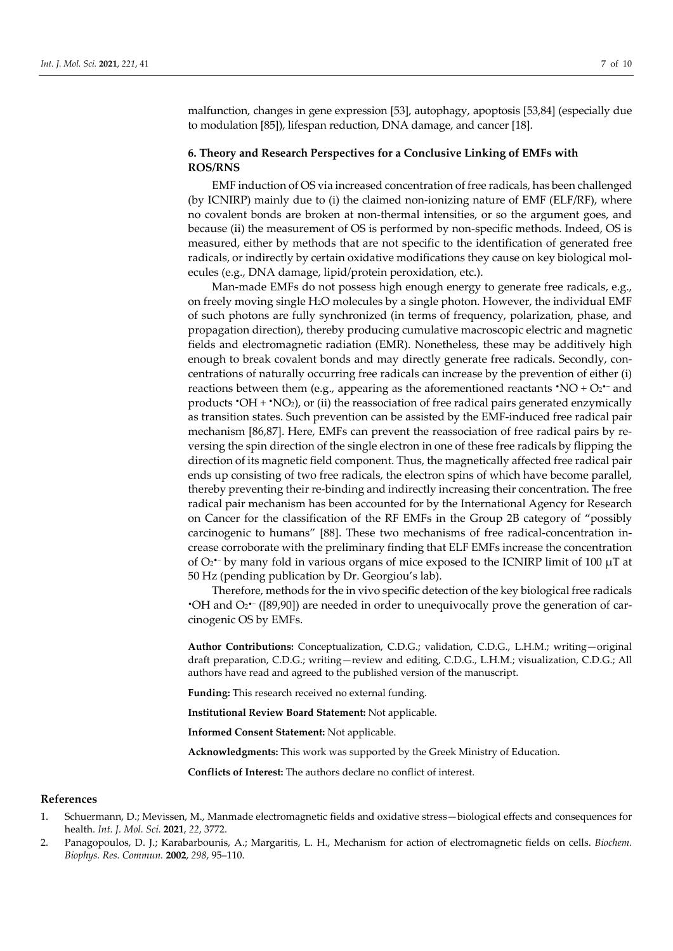malfunction, changes in gene expression [53], autophagy, apoptosis [53,84] (especially due to modulation [85]), lifespan reduction, DNA damage, and cancer [18].

## **6. Theory and Research Perspectives for a Conclusive Linking of EMFs with ROS/RNS**

EMF induction of OS via increased concentration of free radicals, has been challenged (by ICNIRP) mainly due to (i) the claimed non-ionizing nature of EMF (ELF/RF), where no covalent bonds are broken at non-thermal intensities, or so the argument goes, and because (ii) the measurement of OS is performed by non-specific methods. Indeed, OS is measured, either by methods that are not specific to the identification of generated free radicals, or indirectly by certain oxidative modifications they cause on key biological molecules (e.g., DNA damage, lipid/protein peroxidation, etc.).

Man-made EMFs do not possess high enough energy to generate free radicals, e.g., on freely moving single H2O molecules by a single photon. However, the individual EMF of such photons are fully synchronized (in terms of frequency, polarization, phase, and propagation direction), thereby producing cumulative macroscopic electric and magnetic fields and electromagnetic radiation (EMR). Nonetheless, these may be additively high enough to break covalent bonds and may directly generate free radicals. Secondly, concentrations of naturally occurring free radicals can increase by the prevention of either (i) reactions between them (e.g., appearing as the aforementioned reactants •NO +  $O_2$ • $-$  and products  $\cdot$ OH +  $\cdot$ NO<sub>2</sub>), or (ii) the reassociation of free radical pairs generated enzymically as transition states. Such prevention can be assisted by the EMF-induced free radical pair mechanism [86,87]. Here, EMFs can prevent the reassociation of free radical pairs by reversing the spin direction of the single electron in one of these free radicals by flipping the direction of its magnetic field component. Thus, the magnetically affected free radical pair ends up consisting of two free radicals, the electron spins of which have become parallel, thereby preventing their re-binding and indirectly increasing their concentration. The free radical pair mechanism has been accounted for by the International Agency for Research on Cancer for the classification of the RF EMFs in the Group 2B category of "possibly carcinogenic to humans" [88]. These two mechanisms of free radical-concentration increase corroborate with the preliminary finding that ELF EMFs increase the concentration of O2•− by many fold in various organs of mice exposed to the ICNIRP limit of 100 µT at 50 Hz (pending publication by Dr. Georgiou's lab).

Therefore, methods for the in vivo specific detection of the key biological free radicals •OH and O2•− ([89,90]) are needed in order to unequivocally prove the generation of carcinogenic OS by EMFs.

**Author Contributions:** Conceptualization, C.D.G.; validation, C.D.G., L.H.M.; writing—original draft preparation, C.D.G.; writing—review and editing, C.D.G., L.H.M.; visualization, C.D.G.; All authors have read and agreed to the published version of the manuscript.

**Funding:** This research received no external funding.

**Institutional Review Board Statement:** Not applicable.

**Informed Consent Statement:** Not applicable.

**Acknowledgments:** This work was supported by the Greek Ministry of Education.

**Conflicts of Interest:** The authors declare no conflict of interest.

### **References**

- 1. Schuermann, D.; Mevissen, M., Manmade electromagnetic fields and oxidative stress—biological effects and consequences for health. *Int. J. Mol. Sci.* **2021**, *22*, 3772.
- 2. Panagopoulos, D. J.; Karabarbounis, A.; Margaritis, L. H., Mechanism for action of electromagnetic fields on cells. *Biochem. Biophys. Res. Commun.* **2002**, *298*, 95–110.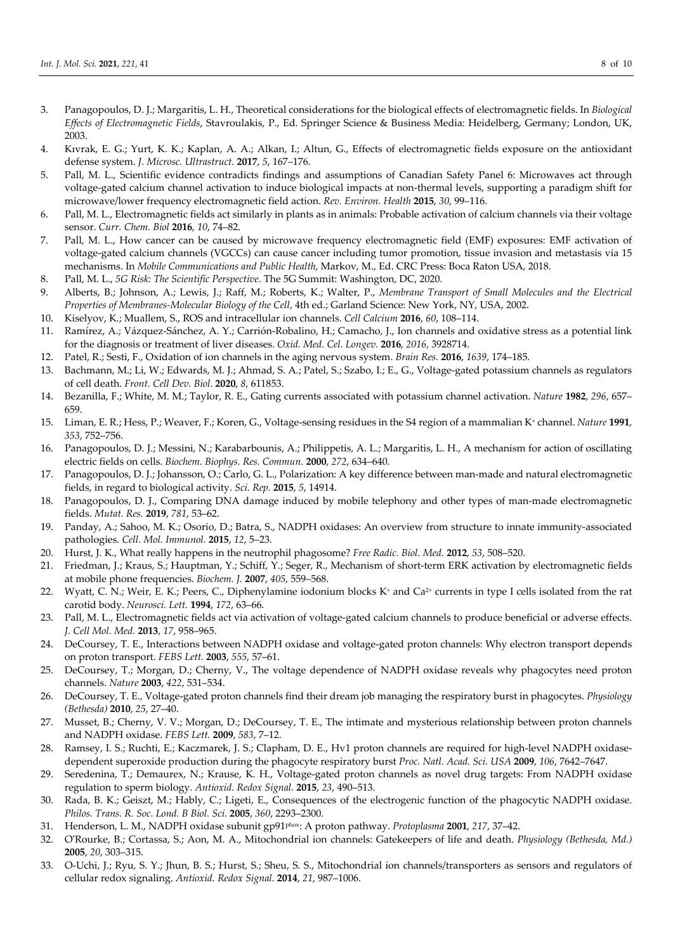- 3. Panagopoulos, D. J.; Margaritis, L. H., Theoretical considerations for the biological effects of electromagnetic fields. In *Biological Effects of Electromagnetic Fields*, Stavroulakis, P., Ed. Springer Science & Business Media: Heidelberg, Germany; London, UK, 2003.
- 4. Kıvrak, E. G.; Yurt, K. K.; Kaplan, A. A.; Alkan, I.; Altun, G., Effects of electromagnetic fields exposure on the antioxidant defense system. *J. Microsc. Ultrastruct.* **2017**, *5*, 167–176.
- 5. Pall, M. L., Scientific evidence contradicts findings and assumptions of Canadian Safety Panel 6: Microwaves act through voltage-gated calcium channel activation to induce biological impacts at non-thermal levels, supporting a paradigm shift for microwave/lower frequency electromagnetic field action. *Rev. Environ. Health* **2015**, *30*, 99–116.
- 6. Pall, M. L., Electromagnetic fields act similarly in plants as in animals: Probable activation of calcium channels via their voltage sensor. *Curr. Chem. Biol* **2016**, *10*, 74–82.
- 7. Pall, M. L., How cancer can be caused by microwave frequency electromagnetic field (EMF) exposures: EMF activation of voltage-gated calcium channels (VGCCs) can cause cancer including tumor promotion, tissue invasion and metastasis via 15 mechanisms. In *Mobile Communications and Public Health*, Markov, M., Ed. CRC Press: Boca Raton USA, 2018.
- 8. Pall, M. L., *5G Risk: The Scientific Perspective*. The 5G Summit: Washington, DC, 2020.
- 9. Alberts, B.; Johnson, A.; Lewis, J.; Raff, M.; Roberts, K.; Walter, P., *Membrane Transport of Small Molecules and the Electrical Properties of Membranes-Molecular Biology of the Cell*, 4th ed.; Garland Science: New York, NY, USA, 2002.
- 10. Kiselyov, K.; Muallem, S., ROS and intracellular ion channels. *Cell Calcium* **2016**, *60*, 108–114.
- 11. Ramírez, A.; Vázquez-Sánchez, A. Y.; Carrión-Robalino, H.; Camacho, J., Ion channels and oxidative stress as a potential link for the diagnosis or treatment of liver diseases. *Oxid. Med. Cel. Longev.* **2016**, *2016*, 3928714.
- 12. Patel, R.; Sesti, F., Oxidation of ion channels in the aging nervous system. *Brain Res.* **2016**, *1639*, 174–185.
- 13. Bachmann, M.; Li, W.; Edwards, M. J.; Ahmad, S. A.; Patel, S.; Szabo, I.; E., G., Voltage-gated potassium channels as regulators of cell death. *Front. Cell Dev. Biol.* **2020**, *8*, 611853.
- 14. Bezanilla, F.; White, M. M.; Taylor, R. E., Gating currents associated with potassium channel activation. *Nature* **1982**, *296*, 657– 659.
- 15. Liman, E. R.; Hess, P.; Weaver, F.; Koren, G., Voltage-sensing residues in the S4 region of a mammalian K+ channel. *Nature* **1991**, *353*, 752–756.
- 16. Panagopoulos, D. J.; Messini, N.; Karabarbounis, A.; Philippetis, A. L.; Margaritis, L. H., A mechanism for action of oscillating electric fields on cells. *Biochem. Biophys. Res. Commun.* **2000**, *272*, 634–640.
- 17. Panagopoulos, D. J.; Johansson, O.; Carlo, G. L., Polarization: A key difference between man-made and natural electromagnetic fields, in regard to biological activity. *Sci. Rep.* **2015**, *5*, 14914.
- 18. Panagopoulos, D. J., Comparing DNA damage induced by mobile telephony and other types of man-made electromagnetic fields. *Mutat. Res.* **2019**, *781*, 53–62.
- 19. Panday, A.; Sahoo, M. K.; Osorio, D.; Batra, S., NADPH oxidases: An overview from structure to innate immunity-associated pathologies. *Cell. Mol. Immunol.* **2015**, *12*, 5–23.
- 20. Hurst, J. K., What really happens in the neutrophil phagosome? *Free Radic. Biol. Med.* **2012**, *53*, 508–520.
- 21. Friedman, J.; Kraus, S.; Hauptman, Y.; Schiff, Y.; Seger, R., Mechanism of short-term ERK activation by electromagnetic fields at mobile phone frequencies. *Biochem. J.* **2007**, *405*, 559–568.
- 22. Wyatt, C. N.; Weir, E. K.; Peers, C., Diphenylamine iodonium blocks K<sup>+</sup> and Ca<sup>2+</sup> currents in type I cells isolated from the rat carotid body. *Neurosci. Lett.* **1994**, *172*, 63–66.
- 23. Pall, M. L., Electromagnetic fields act via activation of voltage-gated calcium channels to produce beneficial or adverse effects. *J. Cell Mol. Med.* **2013**, *17*, 958–965.
- 24. DeCoursey, T. E., Interactions between NADPH oxidase and voltage-gated proton channels: Why electron transport depends on proton transport. *FEBS Lett.* **2003**, *555*, 57–61.
- 25. DeCoursey, T.; Morgan, D.; Cherny, V., The voltage dependence of NADPH oxidase reveals why phagocytes need proton channels. *Nature* **2003**, *422*, 531–534.
- 26. DeCoursey, T. E., Voltage-gated proton channels find their dream job managing the respiratory burst in phagocytes. *Physiology (Bethesda)* **2010**, *25*, 27–40.
- 27. Musset, B.; Cherny, V. V.; Morgan, D.; DeCoursey, T. E., The intimate and mysterious relationship between proton channels and NADPH oxidase. *FEBS Lett.* **2009**, *583*, 7–12.
- 28. Ramsey, I. S.; Ruchti, E.; Kaczmarek, J. S.; Clapham, D. E., Hv1 proton channels are required for high-level NADPH oxidasedependent superoxide production during the phagocyte respiratory burst *Proc. Natl. Acad. Sci. USA* **2009**, *106*, 7642–7647.
- 29. Seredenina, T.; Demaurex, N.; Krause, K. H., Voltage-gated proton channels as novel drug targets: From NADPH oxidase regulation to sperm biology. *Antioxid. Redox Signal.* **2015**, *23*, 490–513.
- 30. Rada, B. K.; Geiszt, M.; Hably, C.; Ligeti, E., Consequences of the electrogenic function of the phagocytic NADPH oxidase. *Philos. Trans. R. Soc. Lond. B Biol. Sci.* **2005**, *360*, 2293–2300.
- 31. Henderson, L. M., NADPH oxidase subunit gp91phox: A proton pathway. *Protoplasma* **2001**, *217*, 37–42.
- 32. O'Rourke, B.; Cortassa, S.; Aon, M. A., Mitochondrial ion channels: Gatekeepers of life and death. *Physiology (Bethesda, Md.)*  **2005**, *20*, 303–315.
- 33. O-Uchi, J.; Ryu, S. Y.; Jhun, B. S.; Hurst, S.; Sheu, S. S., Mitochondrial ion channels/transporters as sensors and regulators of cellular redox signaling. *Antioxid. Redox Signal.* **2014**, *21*, 987–1006.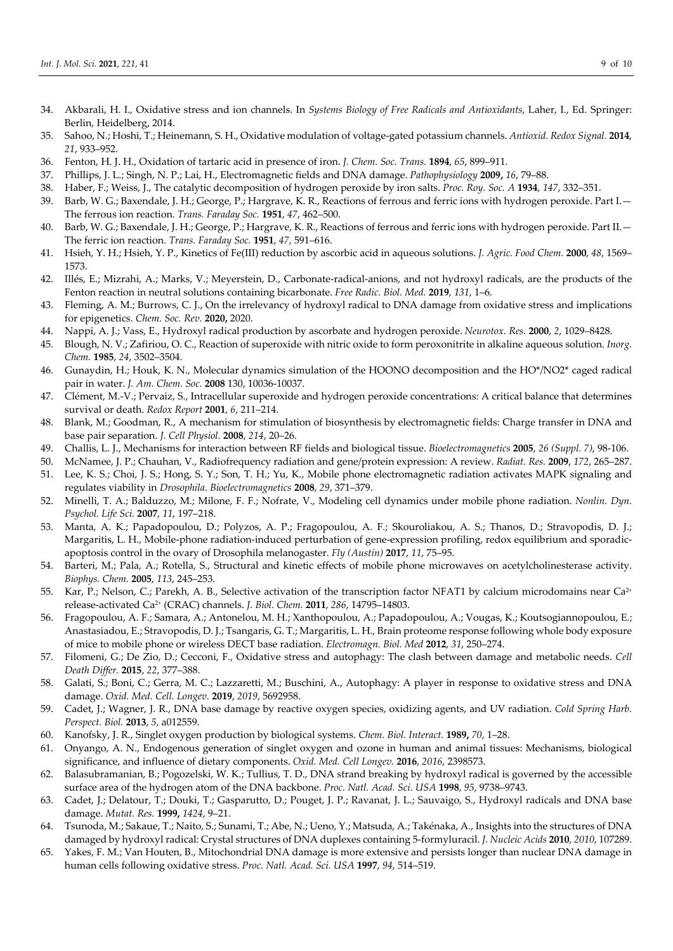- 34. Akbarali, H. I., Oxidative stress and ion channels. In *Systems Biology of Free Radicals and Antioxidants*, Laher, I., Ed. Springer: Berlin, Heidelberg, 2014.
- 35. Sahoo, N.; Hoshi, T.; Heinemann, S. H., Oxidative modulation of voltage-gated potassium channels. *Antioxid. Redox Signal.* **2014**, *21*, 933–952.
- 36. Fenton, H. J. H., Oxidation of tartaric acid in presence of iron. *J. Chem. Soc. Trans.* **1894**, *65*, 899–911.
- 37. Phillips, J. L.; Singh, N. P.; Lai, H., Electromagnetic fields and DNA damage. *Pathophysiology* **2009,** *16*, 79–88.
- 38. Haber, F.; Weiss, J., The catalytic decomposition of hydrogen peroxide by iron salts. *Proc. Roy. Soc. A* **1934**, *147*, 332–351.
- 39. Barb, W. G.; Baxendale, J. H.; George, P.; Hargrave, K. R., Reactions of ferrous and ferric ions with hydrogen peroxide. Part I.— The ferrous ion reaction. *Trans. Faraday Soc.* **1951**, *47*, 462–500.
- 40. Barb, W. G.; Baxendale, J. H.; George, P.; Hargrave, K. R., Reactions of ferrous and ferric ions with hydrogen peroxide. Part II.— The ferric ion reaction. *Trans. Faraday Soc.* **1951**, *47*, 591–616.
- 41. Hsieh, Y. H.; Hsieh, Y. P., Kinetics of Fe(III) reduction by ascorbic acid in aqueous solutions. *J. Agric. Food Chem.* **2000**, *48*, 1569– 1573.
- 42. Illés, E.; Mizrahi, A.; Marks, V.; Meyerstein, D., Carbonate-radical-anions, and not hydroxyl radicals, are the products of the Fenton reaction in neutral solutions containing bicarbonate. *Free Radic. Biol. Med.* **2019**, *131*, 1–6.
- 43. Fleming, A. M.; Burrows, C. J., On the irrelevancy of hydroxyl radical to DNA damage from oxidative stress and implications for epigenetics. *Chem. Soc. Rev.* **2020,** 2020.
- 44. Nappi, A. J.; Vass, E., Hydroxyl radical production by ascorbate and hydrogen peroxide. *Neurotox. Res.* **2000**, *2*, 1029–8428.
- 45. Blough, N. V.; Zafiriou, O. C., Reaction of superoxide with nitric oxide to form peroxonitrite in alkaline aqueous solution. *Inorg. Chem.* **1985**, *24*, 3502–3504.
- 46. Gunaydin, H.; Houk, K. N., Molecular dynamics simulation of the HOONO decomposition and the HO\*/NO2\* caged radical pair in water. *J. Am. Chem. Soc.* **2008** 130, 10036-10037.
- 47. Clément, M.-V.; Pervaiz, S., Intracellular superoxide and hydrogen peroxide concentrations: A critical balance that determines survival or death. *Redox Report* **2001**, *6*, 211–214.
- 48. Blank, M.; Goodman, R., A mechanism for stimulation of biosynthesis by electromagnetic fields: Charge transfer in DNA and base pair separation. *J. Cell Physiol.* **2008**, *214*, 20–26.
- 49. Challis, L. J., Mechanisms for interaction between RF fields and biological tissue. *Bioelectromagnetics* **2005**, *26 (Suppl. 7)*, 98-106.
- 50. McNamee, J. P.; Chauhan, V., Radiofrequency radiation and gene/protein expression: A review. *Radiat. Res.* **2009**, *172*, 265–287. 51. Lee, K. S.; Choi, J. S.; Hong, S. Y.; Son, T. H.; Yu, K., Mobile phone electromagnetic radiation activates MAPK signaling and
- regulates viability in *Drosophila*. *Bioelectromagnetics* **2008**, *29*, 371–379.
- 52. Minelli, T. A.; Balduzzo, M.; Milone, F. F.; Nofrate, V., Modeling cell dynamics under mobile phone radiation. *Nonlin. Dyn. Psychol. Life Sci.* **2007**, *11*, 197–218.
- 53. Manta, A. K.; Papadopoulou, D.; Polyzos, A. P.; Fragopoulou, A. F.; Skouroliakou, A. S.; Thanos, D.; Stravopodis, D. J.; Margaritis, L. H., Mobile-phone radiation-induced perturbation of gene-expression profiling, redox equilibrium and sporadicapoptosis control in the ovary of Drosophila melanogaster. *Fly (Austin)* **2017**, *11*, 75–95.
- 54. Barteri, M.; Pala, A.; Rotella, S., Structural and kinetic effects of mobile phone microwaves on acetylcholinesterase activity. *Biophys. Chem.* **2005**, *113*, 245–253.
- 55. Kar, P.; Nelson, C.; Parekh, A. B., Selective activation of the transcription factor NFAT1 by calcium microdomains near Ca<sup>2+</sup> release-activated Ca2+ (CRAC) channels. *J. Biol. Chem.* **2011**, *286*, 14795–14803.
- 56. Fragopoulou, A. F.; Samara, A.; Antonelou, M. H.; Xanthopoulou, A.; Papadopoulou, A.; Vougas, K.; Koutsogiannopoulou, E.; Anastasiadou, E.; Stravopodis, D. J.; Tsangaris, G. T.; Margaritis, L. H., Brain proteome response following whole body exposure of mice to mobile phone or wireless DECT base radiation. *Electromagn. Biol. Med* **2012**, *31*, 250–274.
- 57. Filomeni, G.; De Zio, D.; Cecconi, F., Oxidative stress and autophagy: The clash between damage and metabolic needs. *Cell Death Differ.* **2015**, *22*, 377–388.
- 58. Galati, S.; Boni, C.; Gerra, M. C.; Lazzaretti, M.; Buschini, A., Autophagy: A player in response to oxidative stress and DNA damage. *Oxid. Med. Cell. Longev.* **2019**, *2019*, 5692958.
- 59. Cadet, J.; Wagner, J. R., DNA base damage by reactive oxygen species, oxidizing agents, and UV radiation. *Cold Spring Harb. Perspect. Biol.* **2013**, *5*, a012559.
- 60. Kanofsky, J. R., Singlet oxygen production by biological systems. *Chem. Biol. Interact.* **1989,** *70*, 1–28.
- 61. Onyango, A. N., Endogenous generation of singlet oxygen and ozone in human and animal tissues: Mechanisms, biological significance, and influence of dietary components. *Oxid. Med. Cell Longev.* **2016**, *2016*, 2398573.
- 62. Balasubramanian, B.; Pogozelski, W. K.; Tullius, T. D., DNA strand breaking by hydroxyl radical is governed by the accessible surface area of the hydrogen atom of the DNA backbone. *Proc. Natl. Acad. Sci. USA* **1998**, *95*, 9738–9743.
- 63. Cadet, J.; Delatour, T.; Douki, T.; Gasparutto, D.; Pouget, J. P.; Ravanat, J. L.; Sauvaigo, S., Hydroxyl radicals and DNA base damage. *Mutat. Res.* **1999,** *1424*, 9–21.
- 64. Tsunoda, M.; Sakaue, T.; Naito, S.; Sunami, T.; Abe, N.; Ueno, Y.; Matsuda, A.; Takénaka, A., Insights into the structures of DNA damaged by hydroxyl radical: Crystal structures of DNA duplexes containing 5-formyluracil. *J. Nucleic Acids* **2010**, *2010*, 107289.
- 65. Yakes, F. M.; Van Houten, B., Mitochondrial DNA damage is more extensive and persists longer than nuclear DNA damage in human cells following oxidative stress. *Proc. Natl. Acad. Sci. USA* **1997**, *94*, 514–519.